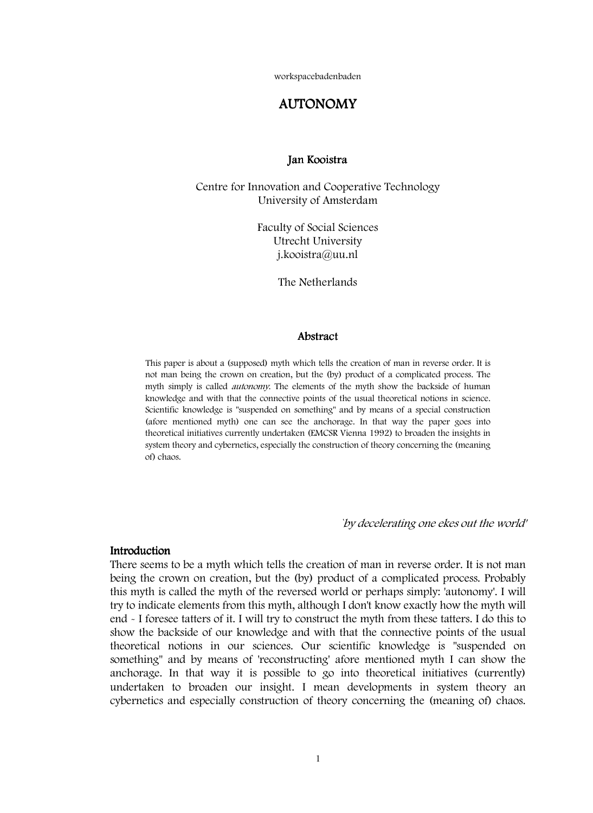workspacebadenbaden

# AUTONOMY

### Jan Kooistra

Centre for Innovation and Cooperative Technology University of Amsterdam

> Faculty of Social Sciences Utrecht University j.kooistra@uu.nl

> > The Netherlands

### Abstract

 This paper is about a (supposed) myth which tells the creation of man in reverse order. It is not man being the crown on creation, but the (by) product of a complicated process. The myth simply is called *autonomy*. The elements of the myth show the backside of human knowledge and with that the connective points of the usual theoretical notions in science. Scientific knowledge is "suspended on something" and by means of a special construction (afore mentioned myth) one can see the anchorage. In that way the paper goes into theoretical initiatives currently undertaken (EMCSR Vienna 1992) to broaden the insights in system theory and cybernetics, especially the construction of theory concerning the (meaning of) chaos.

`by decelerating one ekes out the world'

### **Introduction**

There seems to be a myth which tells the creation of man in reverse order. It is not man being the crown on creation, but the (by) product of a complicated process. Probably this myth is called the myth of the reversed world or perhaps simply: 'autonomy'. I will try to indicate elements from this myth, although I don't know exactly how the myth will end - I foresee tatters of it. I will try to construct the myth from these tatters. I do this to show the backside of our knowledge and with that the connective points of the usual theoretical notions in our sciences. Our scientific knowledge is "suspended on something" and by means of 'reconstructing' afore mentioned myth I can show the anchorage. In that way it is possible to go into theoretical initiatives (currently) undertaken to broaden our insight. I mean developments in system theory an cybernetics and especially construction of theory concerning the (meaning of) chaos.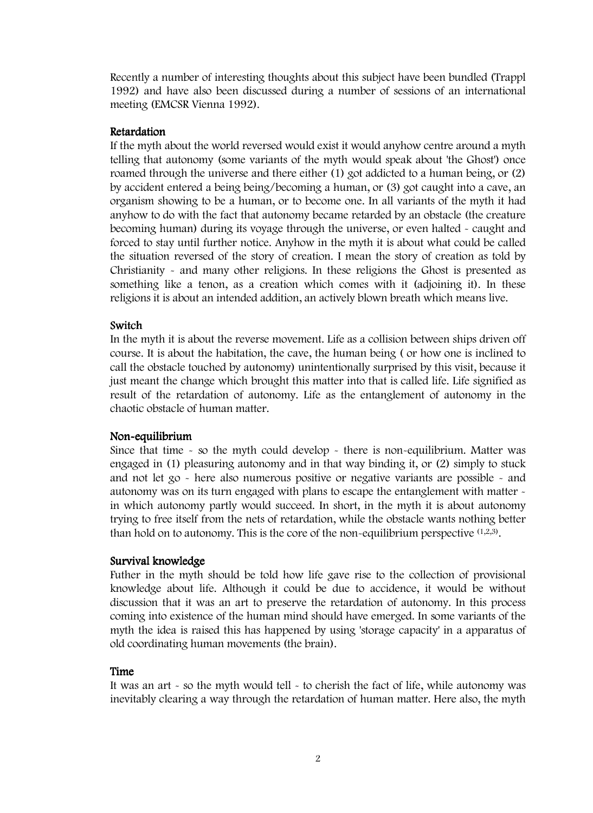Recently a number of interesting thoughts about this subject have been bundled (Trappl 1992) and have also been discussed during a number of sessions of an international meeting (EMCSR Vienna 1992).

### **Retardation**

If the myth about the world reversed would exist it would anyhow centre around a myth telling that autonomy (some variants of the myth would speak about 'the Ghost') once roamed through the universe and there either (1) got addicted to a human being, or (2) by accident entered a being being/becoming a human, or (3) got caught into a cave, an organism showing to be a human, or to become one. In all variants of the myth it had anyhow to do with the fact that autonomy became retarded by an obstacle (the creature becoming human) during its voyage through the universe, or even halted - caught and forced to stay until further notice. Anyhow in the myth it is about what could be called the situation reversed of the story of creation. I mean the story of creation as told by Christianity - and many other religions. In these religions the Ghost is presented as something like a tenon, as a creation which comes with it (adjoining it). In these religions it is about an intended addition, an actively blown breath which means live.

### Switch

In the myth it is about the reverse movement. Life as a collision between ships driven off course. It is about the habitation, the cave, the human being ( or how one is inclined to call the obstacle touched by autonomy) unintentionally surprised by this visit, because it just meant the change which brought this matter into that is called life. Life signified as result of the retardation of autonomy. Life as the entanglement of autonomy in the chaotic obstacle of human matter.

## Non-equilibrium

Since that time  $\sim$  so the myth could develop  $\sim$  there is non-equilibrium. Matter was engaged in (1) pleasuring autonomy and in that way binding it, or (2) simply to stuck and not let go - here also numerous positive or negative variants are possible - and autonomy was on its turn engaged with plans to escape the entanglement with matter in which autonomy partly would succeed. In short, in the myth it is about autonomy trying to free itself from the nets of retardation, while the obstacle wants nothing better than hold on to autonomy. This is the core of the non-equilibrium perspective  $(1,2,3)$ .

### Survival knowledge

Futher in the myth should be told how life gave rise to the collection of provisional knowledge about life. Although it could be due to accidence, it would be without discussion that it was an art to preserve the retardation of autonomy. In this process coming into existence of the human mind should have emerged. In some variants of the myth the idea is raised this has happened by using 'storage capacity' in a apparatus of old coordinating human movements (the brain).

### Time

It was an art - so the myth would tell - to cherish the fact of life, while autonomy was inevitably clearing a way through the retardation of human matter. Here also, the myth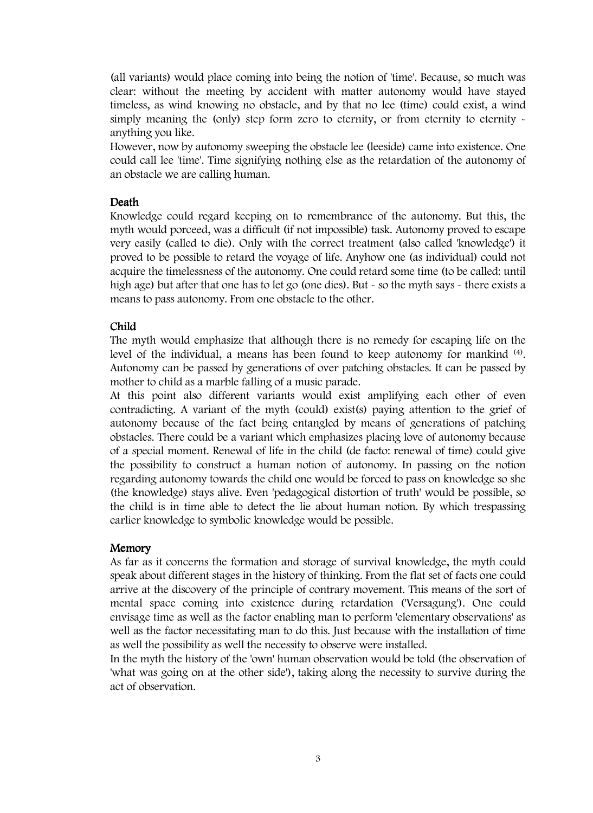(all variants) would place coming into being the notion of 'time'. Because, so much was clear: without the meeting by accident with matter autonomy would have stayed timeless, as wind knowing no obstacle, and by that no lee (time) could exist, a wind simply meaning the (only) step form zero to eternity, or from eternity to eternity anything you like.

However, now by autonomy sweeping the obstacle lee (leeside) came into existence. One could call lee 'time'. Time signifying nothing else as the retardation of the autonomy of an obstacle we are calling human.

## Death

Knowledge could regard keeping on to remembrance of the autonomy. But this, the myth would porceed, was a difficult (if not impossible) task. Autonomy proved to escape very easily (called to die). Only with the correct treatment (also called 'knowledge') it proved to be possible to retard the voyage of life. Anyhow one (as individual) could not acquire the timelessness of the autonomy. One could retard some time (to be called: until high age) but after that one has to let go (one dies). But - so the myth says - there exists a means to pass autonomy. From one obstacle to the other.

## Child

The myth would emphasize that although there is no remedy for escaping life on the level of the individual, a means has been found to keep autonomy for mankind (4). Autonomy can be passed by generations of over patching obstacles. It can be passed by mother to child as a marble falling of a music parade.

At this point also different variants would exist amplifying each other of even contradicting. A variant of the myth (could) exist(s) paying attention to the grief of autonomy because of the fact being entangled by means of generations of patching obstacles. There could be a variant which emphasizes placing love of autonomy because of a special moment. Renewal of life in the child (de facto: renewal of time) could give the possibility to construct a human notion of autonomy. In passing on the notion regarding autonomy towards the child one would be forced to pass on knowledge so she (the knowledge) stays alive. Even 'pedagogical distortion of truth' would be possible, so the child is in time able to detect the lie about human notion. By which trespassing earlier knowledge to symbolic knowledge would be possible.

## Memory

As far as it concerns the formation and storage of survival knowledge, the myth could speak about different stages in the history of thinking. From the flat set of facts one could arrive at the discovery of the principle of contrary movement. This means of the sort of mental space coming into existence during retardation ('Versagung'). One could envisage time as well as the factor enabling man to perform 'elementary observations' as well as the factor necessitating man to do this. Just because with the installation of time as well the possibility as well the necessity to observe were installed.

In the myth the history of the 'own' human observation would be told (the observation of 'what was going on at the other side'), taking along the necessity to survive during the act of observation.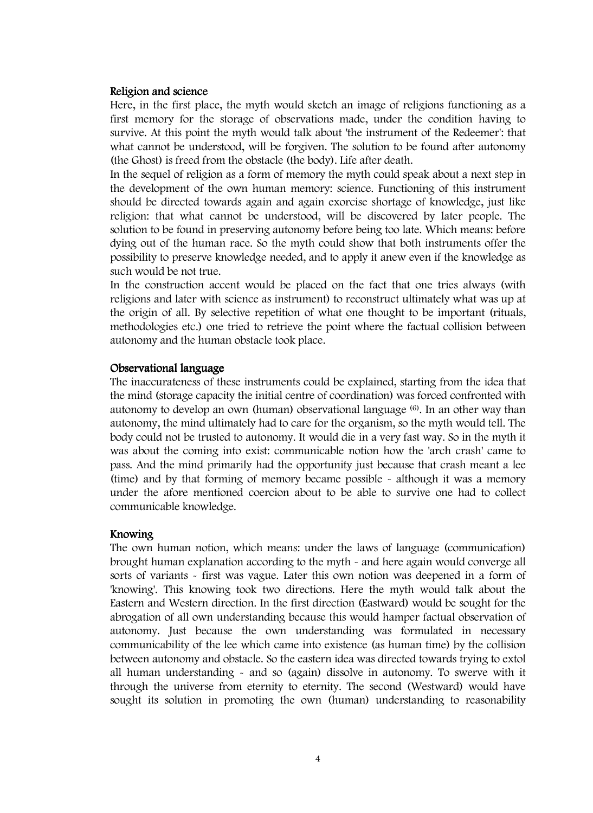#### Religion and science

Here, in the first place, the myth would sketch an image of religions functioning as a first memory for the storage of observations made, under the condition having to survive. At this point the myth would talk about 'the instrument of the Redeemer': that what cannot be understood, will be forgiven. The solution to be found after autonomy (the Ghost) is freed from the obstacle (the body). Life after death.

In the sequel of religion as a form of memory the myth could speak about a next step in the development of the own human memory: science. Functioning of this instrument should be directed towards again and again exorcise shortage of knowledge, just like religion: that what cannot be understood, will be discovered by later people. The solution to be found in preserving autonomy before being too late. Which means: before dying out of the human race. So the myth could show that both instruments offer the possibility to preserve knowledge needed, and to apply it anew even if the knowledge as such would be not true.

In the construction accent would be placed on the fact that one tries always (with religions and later with science as instrument) to reconstruct ultimately what was up at the origin of all. By selective repetition of what one thought to be important (rituals, methodologies etc.) one tried to retrieve the point where the factual collision between autonomy and the human obstacle took place.

### Observational language

The inaccurateness of these instruments could be explained, starting from the idea that the mind (storage capacity the initial centre of coordination) was forced confronted with autonomy to develop an own (human) observational language  $(6)$ . In an other way than autonomy, the mind ultimately had to care for the organism, so the myth would tell. The body could not be trusted to autonomy. It would die in a very fast way. So in the myth it was about the coming into exist: communicable notion how the 'arch crash' came to pass. And the mind primarily had the opportunity just because that crash meant a lee (time) and by that forming of memory became possible - although it was a memory under the afore mentioned coercion about to be able to survive one had to collect communicable knowledge.

### Knowing Knowing

The own human notion, which means: under the laws of language (communication) brought human explanation according to the myth - and here again would converge all sorts of variants - first was vague. Later this own notion was deepened in a form of 'knowing'. This knowing took two directions. Here the myth would talk about the Eastern and Western direction. In the first direction (Eastward) would be sought for the abrogation of all own understanding because this would hamper factual observation of autonomy. Just because the own understanding was formulated in necessary communicability of the lee which came into existence (as human time) by the collision between autonomy and obstacle. So the eastern idea was directed towards trying to extol all human understanding - and so (again) dissolve in autonomy. To swerve with it through the universe from eternity to eternity. The second (Westward) would have sought its solution in promoting the own (human) understanding to reasonability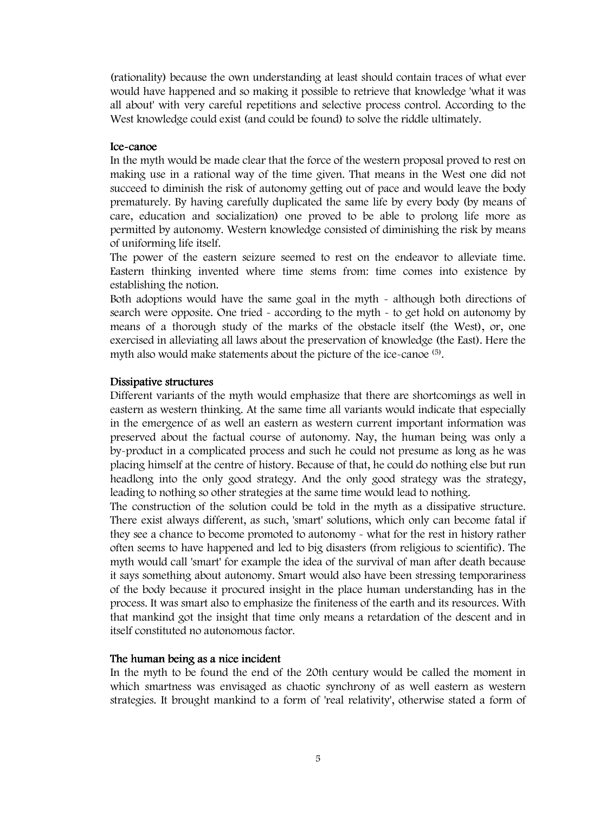(rationality) because the own understanding at least should contain traces of what ever would have happened and so making it possible to retrieve that knowledge 'what it was all about' with very careful repetitions and selective process control. According to the West knowledge could exist (and could be found) to solve the riddle ultimately.

## Ice-canoe

In the myth would be made clear that the force of the western proposal proved to rest on making use in a rational way of the time given. That means in the West one did not succeed to diminish the risk of autonomy getting out of pace and would leave the body prematurely. By having carefully duplicated the same life by every body (by means of care, education and socialization) one proved to be able to prolong life more as permitted by autonomy. Western knowledge consisted of diminishing the risk by means of uniforming life itself.

The power of the eastern seizure seemed to rest on the endeavor to alleviate time. Eastern thinking invented where time stems from: time comes into existence by establishing the notion.

Both adoptions would have the same goal in the myth - although both directions of search were opposite. One tried - according to the myth - to get hold on autonomy by means of a thorough study of the marks of the obstacle itself (the West), or, one exercised in alleviating all laws about the preservation of knowledge (the East). Here the myth also would make statements about the picture of the ice-canoe (5).

#### Dissipative structures

Different variants of the myth would emphasize that there are shortcomings as well in eastern as western thinking. At the same time all variants would indicate that especially in the emergence of as well an eastern as western current important information was preserved about the factual course of autonomy. Nay, the human being was only a by-product in a complicated process and such he could not presume as long as he was placing himself at the centre of history. Because of that, he could do nothing else but run headlong into the only good strategy. And the only good strategy was the strategy, leading to nothing so other strategies at the same time would lead to nothing.

The construction of the solution could be told in the myth as a dissipative structure. There exist always different, as such, 'smart' solutions, which only can become fatal if they see a chance to become promoted to autonomy - what for the rest in history rather often seems to have happened and led to big disasters (from religious to scientific). The myth would call 'smart' for example the idea of the survival of man after death because it says something about autonomy. Smart would also have been stressing temporariness of the body because it procured insight in the place human understanding has in the process. It was smart also to emphasize the finiteness of the earth and its resources. With that mankind got the insight that time only means a retardation of the descent and in itself constituted no autonomous factor.

### The human being as a nice incident

In the myth to be found the end of the 20th century would be called the moment in which smartness was envisaged as chaotic synchrony of as well eastern as western strategies. It brought mankind to a form of 'real relativity', otherwise stated a form of